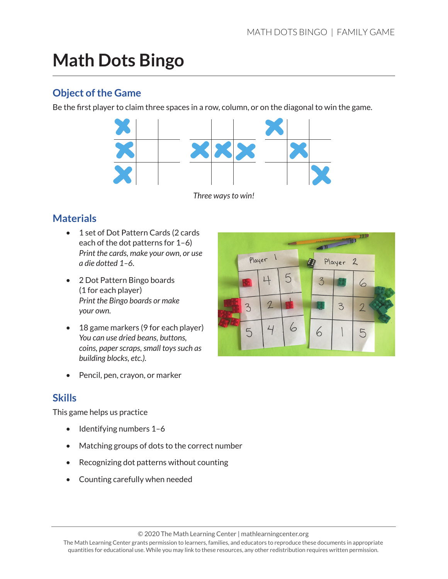# **Math Dots Bingo**

#### **Object of the Game**

Be the first player to claim three spaces in a row, column, or on the diagonal to win the game.



#### **Materials**

- 1 set of Dot Pattern Cards (2 cards each of the dot patterns for 1–6) *Print the cards, make your own, or use a die dotted 1–6.*
- 2 Dot Pattern Bingo boards (1 for each player) *Print the Bingo boards or make your own.*
- 18 game markers (9 for each player) *You can use dried beans, buttons, coins, paper scraps, small toys such as building blocks, etc.).*
- Pencil, pen, crayon, or marker

#### **Skills**

This game helps us practice

- Identifying numbers 1-6
- Matching groups of dots to the correct number
- Recognizing dot patterns without counting
- Counting carefully when needed

| $\rightarrow$ $\rightarrow$ $\rightarrow$ $\rightarrow$<br><b>OIXON TECONOMICAL</b> |               |   |  |   |   |   |  |  |
|-------------------------------------------------------------------------------------|---------------|---|--|---|---|---|--|--|
| Player 1                                                                            |               |   |  |   |   |   |  |  |
|                                                                                     |               | 5 |  |   |   | 6 |  |  |
| $\mathbf{z}$                                                                        | $\mathcal{L}$ |   |  |   | 3 |   |  |  |
| 5                                                                                   |               |   |  | r |   | 5 |  |  |

© 2020 The Math Learning Center | mathlearningcenter.org

The Math Learning Center grants permission to learners, families, and educators to reproduce these documents in appropriate quantities for educational use. While you may link to these resources, any other redistribution requires written permission.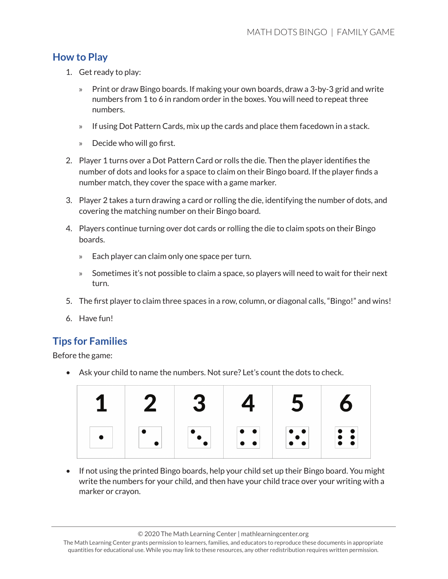#### **How to Play**

- 1. Get ready to play:
	- » Print or draw Bingo boards. If making your own boards, draw a 3-by-3 grid and write numbers from 1 to 6 in random order in the boxes. You will need to repeat three numbers.
	- » If using Dot Pattern Cards, mix up the cards and place them facedown in a stack.
	- » Decide who will go first.
- 2. Player 1 turns over a Dot Pattern Card or rolls the die. Then the player identifies the number of dots and looks for a space to claim on their Bingo board. If the player finds a number match, they cover the space with a game marker.
- 3. Player 2 takes a turn drawing a card or rolling the die, identifying the number of dots, and covering the matching number on their Bingo board.
- 4. Players continue turning over dot cards or rolling the die to claim spots on their Bingo boards.
	- » Each player can claim only one space per turn.
	- » Sometimes it's not possible to claim a space, so players will need to wait for their next turn.
- 5. The first player to claim three spaces in a row, column, or diagonal calls, "Bingo!" and wins!
- 6. Have fun!

### **Tips for Families**

Before the game:

• Ask your child to name the numbers. Not sure? Let's count the dots to check.

| $\boldsymbol{7}$ | 3 | Δ.                                                                  | 5                                                                   | 6                                                                           |
|------------------|---|---------------------------------------------------------------------|---------------------------------------------------------------------|-----------------------------------------------------------------------------|
|                  |   | $\begin{array}{ c c } \hline \circ & \bullet \\ \hline \end{array}$ | $\begin{bmatrix} 1 & 0 & 0 \\ 0 & 1 & 0 \\ 0 & 0 & 1 \end{bmatrix}$ | $\left  \begin{array}{c} \bullet \\ \bullet \\ \bullet \end{array} \right $ |

• If not using the printed Bingo boards, help your child set up their Bingo board. You might write the numbers for your child, and then have your child trace over your writing with a marker or crayon.

<sup>© 2020</sup> The Math Learning Center | mathlearningcenter.org

The Math Learning Center grants permission to learners, families, and educators to reproduce these documents in appropriate quantities for educational use. While you may link to these resources, any other redistribution requires written permission.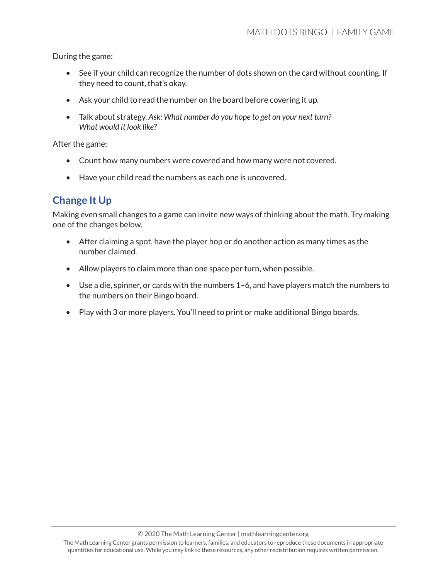During the game:

- See if your child can recognize the number of dots shown on the card without counting. If they need to count, that's okay.
- Ask your child to read the number on the board before covering it up.
- Talk about strategy. *Ask: What number do you hope to get on your next turn? What would it look like?*

After the game:

- Count how many numbers were covered and how many were not covered.
- Have your child read the numbers as each one is uncovered.

### **Change It Up**

Making even small changes to a game can invite new ways of thinking about the math. Try making one of the changes below.

- After claiming a spot, have the player hop or do another action as many times as the number claimed.
- Allow players to claim more than one space per turn, when possible.
- Use a die, spinner, or cards with the numbers 1–6, and have players match the numbers to the numbers on their Bingo board.
- Play with 3 or more players. You'll need to print or make additional Bingo boards.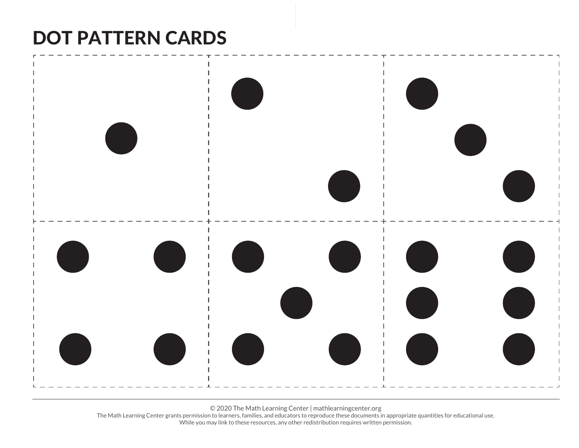# DOT PATTERN CARDS



© 2020 The Math Learning Center | mathlearningcenter.org

The Math Learning Center grants permission to learners, families, and educators to reproduce these documents in appropriate quantities for educational use. While you may link to these resources, any other redistribution requires written permission.